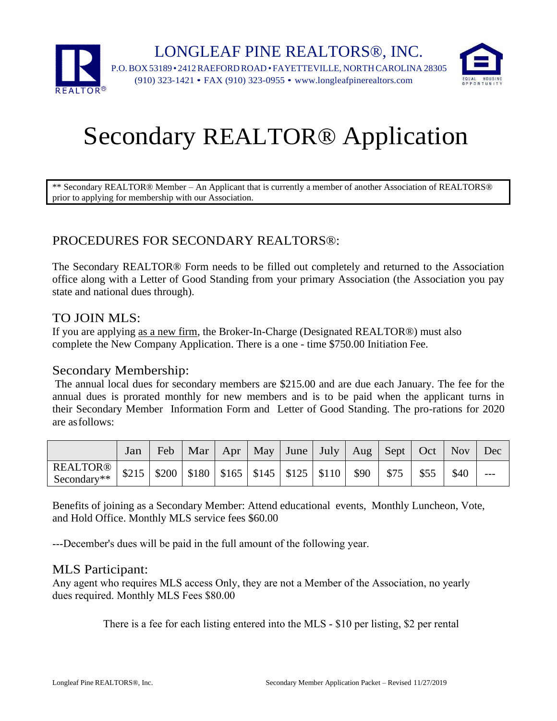

# Secondary REALTOR® Application

\*\* Secondary REALTOR® Member – An Applicant that is currently a member of another Association of REALTORS® prior to applying for membership with our Association.

### PROCEDURES FOR SECONDARY REALTORS®:

The Secondary REALTOR® Form needs to be filled out completely and returned to the Association office along with a Letter of Good Standing from your primary Association (the Association you pay state and national dues through).

#### TO JOIN MLS:

If you are applying as a new firm, the Broker-In-Charge (Designated REALTOR®) must also complete the New Company Application. There is a one - time \$750.00 Initiation Fee.

#### Secondary Membership:

The annual local dues for secondary members are \$215.00 and are due each January. The fee for the annual dues is prorated monthly for new members and is to be paid when the applicant turns in their Secondary Member Information Form and Letter of Good Standing. The pro-rations for 2020 are asfollows:

|                                                                                                        | Jan |  |  |  |  | Feb   Mar   Apr   May   June   July   Aug   Sept   Oct   Nov   Dec |       |
|--------------------------------------------------------------------------------------------------------|-----|--|--|--|--|--------------------------------------------------------------------|-------|
| REALTOR®   \$215   \$200   \$180   \$165   \$145   \$125   \$110   \$90   \$75   \$55 '<br>Secondary** |     |  |  |  |  | \$40                                                               | $---$ |

Benefits of joining as a Secondary Member: Attend educational events, Monthly Luncheon, Vote, and Hold Office. Monthly MLS service fees \$60.00

---December's dues will be paid in the full amount of the following year.

#### MLS Participant:

Any agent who requires MLS access Only, they are not a Member of the Association, no yearly dues required. Monthly MLS Fees \$80.00

There is a fee for each listing entered into the MLS - \$10 per listing, \$2 per rental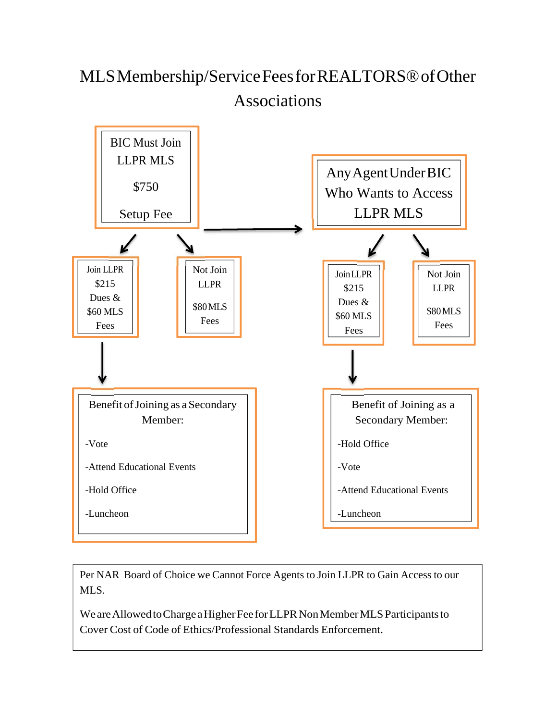## MLSMembership/ServiceFeesforREALTORS®ofOther Associations



Per NAR Board of Choice we Cannot Force Agents to Join LLPR to Gain Access to our MLS.

We are Allowed to Charge a Higher Fee for LLPR Non Member MLS Participants to Cover Cost of Code of Ethics/Professional Standards Enforcement.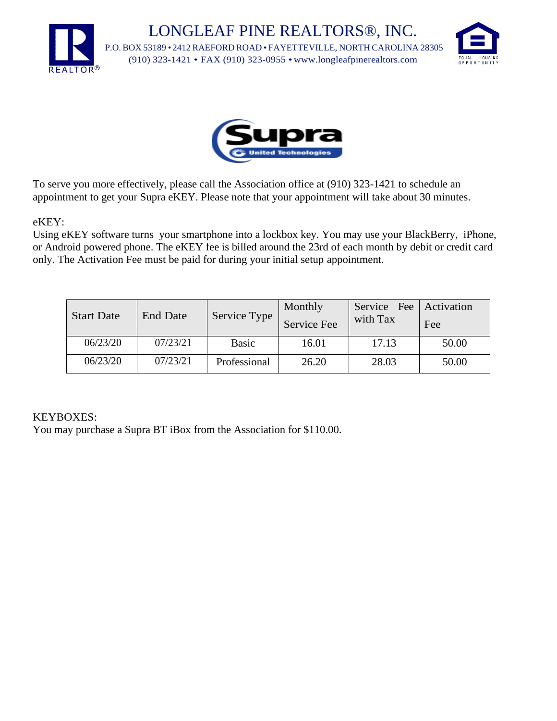LONGLEAF PINE REALTORS®, INC. P.O. BOX 53189 • 2412 RAEFORD ROAD • FAYETTEVILLE, NORTH CAROLINA 28305 (910) 323-1421 • FAX (910) 323-0955 [•www.longleafpinerealtors.com](http://www.longleafpinerealtors.com/)





To serve you more effectively, please call the Association office at (910) 323-1421 to schedule an appointment to get your Supra eKEY. Please note that your appointment will take about 30 minutes.

#### eKEY:

Using eKEY software turns your smartphone into a lockbox key. You may use your BlackBerry, iPhone, or Android powered phone. The eKEY fee is billed around the 23rd of each month by debit or credit card only. The Activation Fee must be paid for during your initial setup appointment.

| <b>Start Date</b> | <b>End Date</b> | Service Type | Monthly<br>Service Fee | Service Fee Activation<br>with Tax | Fee   |
|-------------------|-----------------|--------------|------------------------|------------------------------------|-------|
| 06/23/20          | 07/23/21        | <b>Basic</b> | 16.01                  | 17.13                              | 50.00 |
| 06/23/20          | 07/23/21        | Professional | 26.20                  | 28.03                              | 50.00 |

#### KEYBOXES:

You may purchase a Supra BT iBox from the Association for \$110.00.